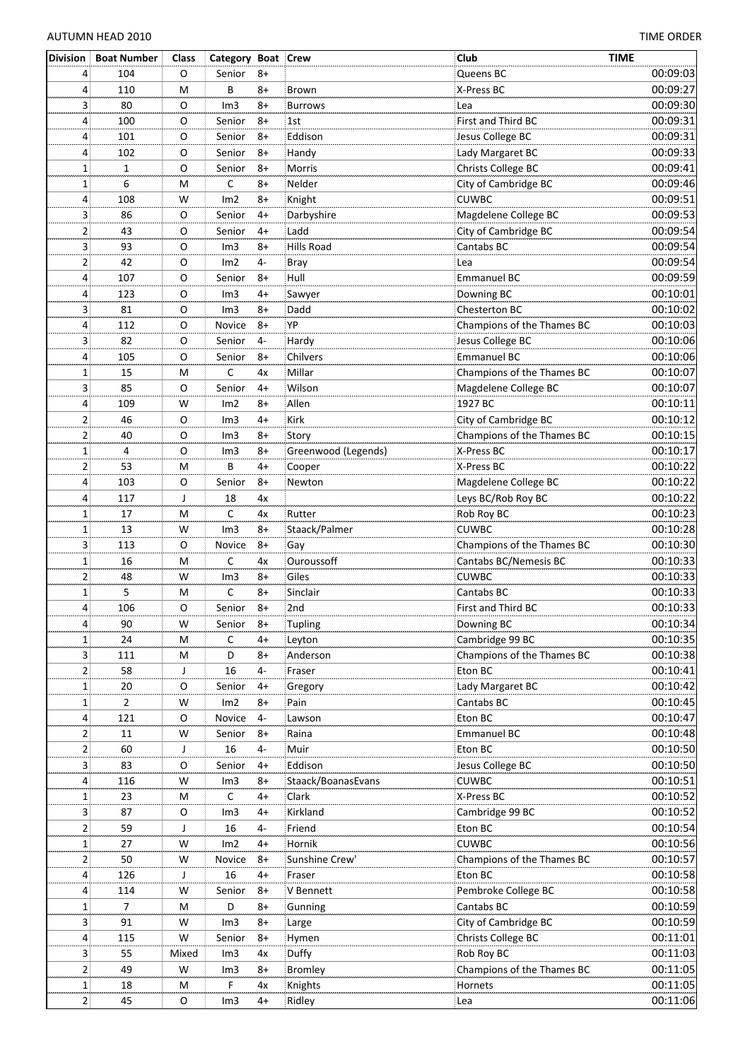| <b>Division</b> | <b>Boat Number</b> | Class       | Category Boat Crew |      |                     | Club                       | <b>TIME</b> |
|-----------------|--------------------|-------------|--------------------|------|---------------------|----------------------------|-------------|
| 4               | 104                | O           | Senior             | $8+$ |                     | Queens BC                  | 00:09:03    |
| 4               | 110                | M           | B                  | $8+$ | <b>Brown</b>        | X-Press BC                 | 00:09:27    |
| 3               | 80                 | O           | Im3                | $8+$ | <b>Burrows</b>      | Lea                        | 00:09:30    |
| 4               | 100                | O           | Senior             | $8+$ | 1st                 | First and Third BC         | 00:09:31    |
| 4               | 101                | O           | Senior             | $8+$ | Eddison             | Jesus College BC           | 00:09:31    |
| 4               | 102                | O           | Senior             | $8+$ | Handy               | Lady Margaret BC           | 00:09:33    |
| 1               |                    | O           | Senior             | $8+$ | Morris              | Christs College BC         | 00:09:41    |
|                 | 1                  |             |                    |      |                     |                            |             |
| 1               | 6                  | M           | С                  | $8+$ | Nelder              | City of Cambridge BC       | 00:09:46    |
| 4               | 108                | W           | Im2                | $8+$ | Knight              | <b>CUWBC</b>               | 00:09:51    |
| 3               | 86                 | О           | Senior             | $4+$ | Darbyshire          | Magdelene College BC       | 00:09:53    |
| $\mathbf 2$     | 43                 | O           | Senior             | $4+$ | Ladd                | City of Cambridge BC       | 00:09:54    |
| 3               | 93                 | O           | Im3                | $8+$ | Hills Road          | Cantabs BC                 | 00:09:54    |
| 2               | 42                 | O           | Im2                | $4-$ | Bray                | Lea                        | 00:09:54    |
| 4               | 107                | O           | Senior             | $8+$ | Hull                | Emmanuel BC                | 00:09:59    |
| 4               | 123                | O           | Im3                | $4+$ | Sawyer              | Downing BC                 | 00:10:01    |
| 3               | 81                 | О           | Im3                | $8+$ | Dadd                | Chesterton BC              | 00:10:02    |
| 4               | 112                | O           | Novice             | $8+$ | YP                  | Champions of the Thames BC | 00:10:03    |
| 3               | 82                 | O           | Senior             | $4-$ | Hardy               | Jesus College BC           | 00:10:06    |
| 4               | 105                | O           | Senior             | $8+$ | Chilvers            | <b>Emmanuel BC</b>         | 00:10:06    |
| 1               | 15                 | M           | С                  | 4x   | Millar              | Champions of the Thames BC | 00:10:07    |
| 3               | 85                 | O           | Senior             | $4+$ | Wilson              | Magdelene College BC       | 00:10:07    |
| 4               | 109                | W           | Im2                | $8+$ | Allen               | 1927 BC                    | 00:10:11    |
| $\overline{2}$  | 46                 | O           | Im3                | $4+$ | Kirk                | City of Cambridge BC       | 00:10:12    |
| $\overline{2}$  | 40                 | O           | Im3                | $8+$ | Story               | Champions of the Thames BC | 00:10:15    |
|                 | 4                  | $\mathsf O$ | Im3                | $8+$ |                     | X-Press BC                 | 00:10:17    |
| 1               |                    |             |                    |      | Greenwood (Legends) |                            |             |
| 2               | 53                 | M           | B                  | $4+$ | Cooper              | X-Press BC                 | 00:10:22    |
| 4               | 103                | O           | Senior             | $8+$ | Newton              | Magdelene College BC       | 00:10:22    |
| 4               | 117                | J           | 18                 | 4x   |                     | Leys BC/Rob Roy BC         | 00:10:22    |
| 1               | 17                 | M           | $\mathsf{C}$       | 4x   | Rutter              | Rob Roy BC                 | 00:10:23    |
| $\mathbf 1$     | 13                 | W           | Im3                | $8+$ | Staack/Palmer       | <b>CUWBC</b>               | 00:10:28    |
| 3               | 113                | О           | Novice             | $8+$ | Gay                 | Champions of the Thames BC | 00:10:30    |
| 1               | 16                 | M           | С                  | 4x   | Ouroussoff          | Cantabs BC/Nemesis BC      | 00:10:33    |
| $\overline{2}$  | 48                 | W           | Im3                | $8+$ | Giles               | <b>CUWBC</b>               | 00:10:33    |
| 1               | 5                  | M           | C                  | $8+$ | Sinclair            | Cantabs BC                 | 00:10:33    |
| 4               | 106                | O           | Senior             | $8+$ | 2nd                 | First and Third BC         | 00:10:33    |
| $\vert 4 \vert$ | 90                 | W           | Senior             | $8+$ | Tupling             | Downing BC                 | 00:10:34    |
| $\mathbf{1}$    | 24                 | M           | $\mathsf{C}$       | $4+$ | Leyton              | Cambridge 99 BC            | 00:10:35    |
| 3               | 111                | M           | D                  | $8+$ | Anderson            | Champions of the Thames BC | 00:10:38    |
| 2               | 58                 | J           | 16                 | $4-$ | Fraser              | Eton BC                    | 00:10:41    |
| $\mathbf{1}$    | 20                 | O           | Senior             | $4+$ | Gregory             | Lady Margaret BC           | 00:10:42    |
| 1               | 2                  | W           | Im2                | $8+$ | Pain                | Cantabs BC                 | 00:10:45    |
| 4               | 121                | O           | Novice             | $4-$ | Lawson              | Eton BC                    | 00:10:47    |
| 2               | 11                 | W           | Senior             | $8+$ | Raina               | <b>Emmanuel BC</b>         | 00:10:48    |
| 2               | 60                 | J           | 16                 | $4-$ | Muir                | Eton BC                    | 00:10:50    |
| 3               | 83                 | O           | Senior             | 4+   | Eddison             | Jesus College BC           | 00:10:50    |
|                 |                    | W           |                    | $8+$ |                     | <b>CUWBC</b>               | 00:10:51    |
| 4               | 116                |             | Im3                |      | Staack/BoanasEvans  |                            |             |
| 1               | 23                 | M           | $\mathsf C$        | $4+$ | Clark               | X-Press BC                 | 00:10:52    |
| 3               | 87                 | O           | Im3                | $4+$ | Kirkland            | Cambridge 99 BC            | 00:10:52    |
| 2               | 59                 | J           | 16                 | $4-$ | Friend              | Eton BC                    | 00:10:54    |
| 1               | 27                 | W           | Im2                | $4+$ | Hornik              | <b>CUWBC</b>               | 00:10:56    |
| 2               | 50                 | W           | Novice             | $8+$ | Sunshine Crew'      | Champions of the Thames BC | 00:10:57    |
| 4               | 126                | J           | 16                 | $4+$ | Fraser              | Eton BC                    | 00:10:58    |
| 4               | 114                | W           | Senior             | $8+$ | V Bennett           | Pembroke College BC        | 00:10:58    |
| 1               | $\overline{7}$     | M           | D                  | $8+$ | Gunning             | Cantabs BC                 | 00:10:59    |
| 3               | 91                 | W           | Im3                | $8+$ | Large               | City of Cambridge BC       | 00:10:59    |
| 4               | 115                | W           | Senior             | $8+$ | Hymen               | Christs College BC         | 00:11:01    |
| 3               | 55                 | Mixed       | Im3                | 4x   | Duffy               | Rob Roy BC                 | 00:11:03    |
| 2               | 49                 | W           | Im <sub>3</sub>    | 8+   | <b>Bromley</b>      | Champions of the Thames BC | 00:11:05    |
| $\mathbf 1$     | 18                 | M           | F                  | 4х   | Knights             | Hornets                    | 00:11:05    |
| $\overline{2}$  | 45                 | O           | Im3                | $4+$ | Ridley              | Lea                        | 00:11:06    |
|                 |                    |             |                    |      |                     |                            |             |